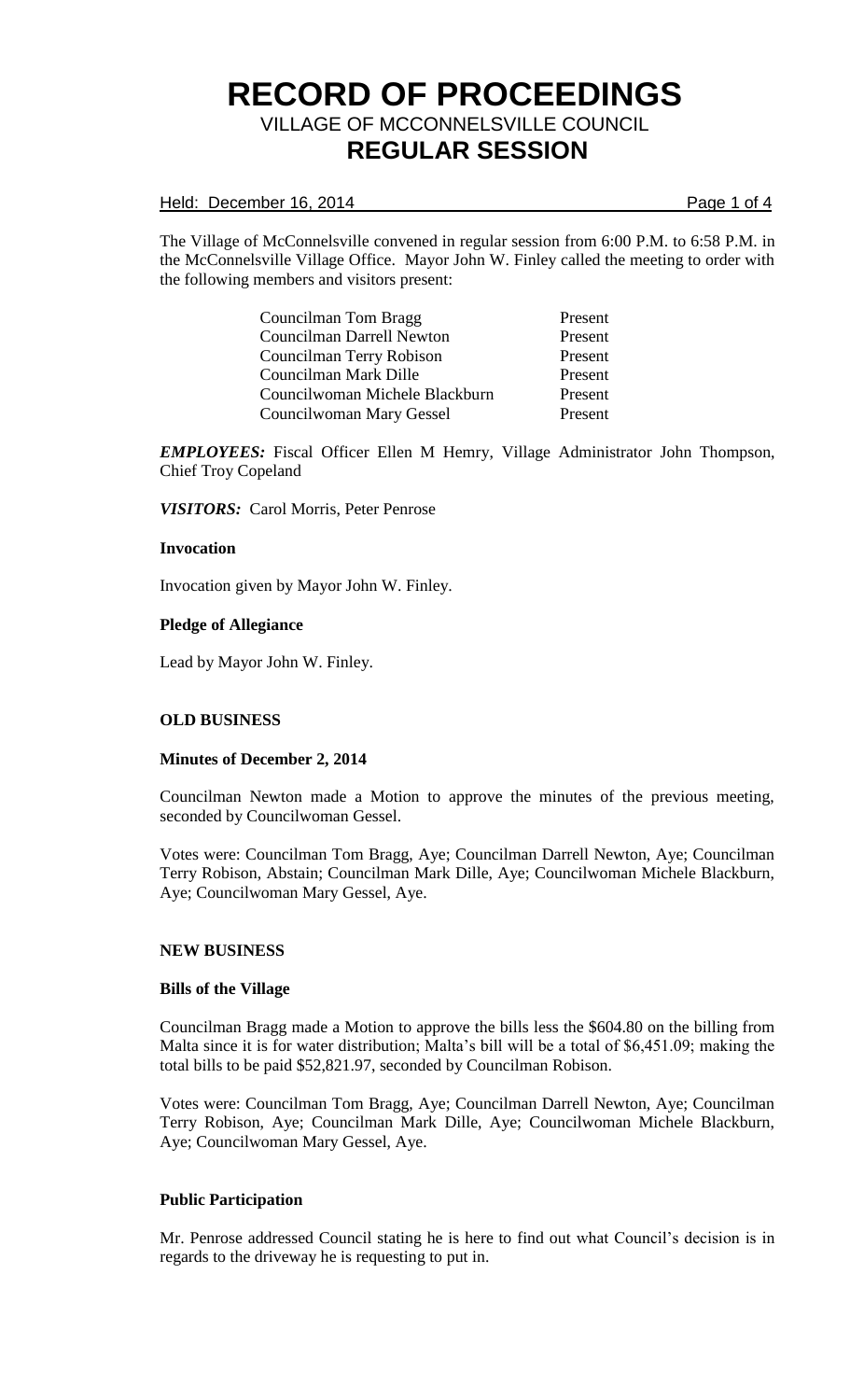## Held: December 16, 2014 **Page 1 of 4**

The Village of McConnelsville convened in regular session from 6:00 P.M. to 6:58 P.M. in the McConnelsville Village Office. Mayor John W. Finley called the meeting to order with the following members and visitors present:

> Councilman Tom Bragg Present Councilman Darrell Newton Present Councilman Terry Robison Present Councilman Mark Dille Present Councilwoman Michele Blackburn Present Councilwoman Mary Gessel Present

*EMPLOYEES:* Fiscal Officer Ellen M Hemry, Village Administrator John Thompson, Chief Troy Copeland

*VISITORS:* Carol Morris, Peter Penrose

### **Invocation**

Invocation given by Mayor John W. Finley.

### **Pledge of Allegiance**

Lead by Mayor John W. Finley.

# **OLD BUSINESS**

#### **Minutes of December 2, 2014**

Councilman Newton made a Motion to approve the minutes of the previous meeting, seconded by Councilwoman Gessel.

Votes were: Councilman Tom Bragg, Aye; Councilman Darrell Newton, Aye; Councilman Terry Robison, Abstain; Councilman Mark Dille, Aye; Councilwoman Michele Blackburn, Aye; Councilwoman Mary Gessel, Aye.

#### **NEW BUSINESS**

#### **Bills of the Village**

Councilman Bragg made a Motion to approve the bills less the \$604.80 on the billing from Malta since it is for water distribution; Malta's bill will be a total of \$6,451.09; making the total bills to be paid \$52,821.97, seconded by Councilman Robison.

Votes were: Councilman Tom Bragg, Aye; Councilman Darrell Newton, Aye; Councilman Terry Robison, Aye; Councilman Mark Dille, Aye; Councilwoman Michele Blackburn, Aye; Councilwoman Mary Gessel, Aye.

#### **Public Participation**

Mr. Penrose addressed Council stating he is here to find out what Council's decision is in regards to the driveway he is requesting to put in.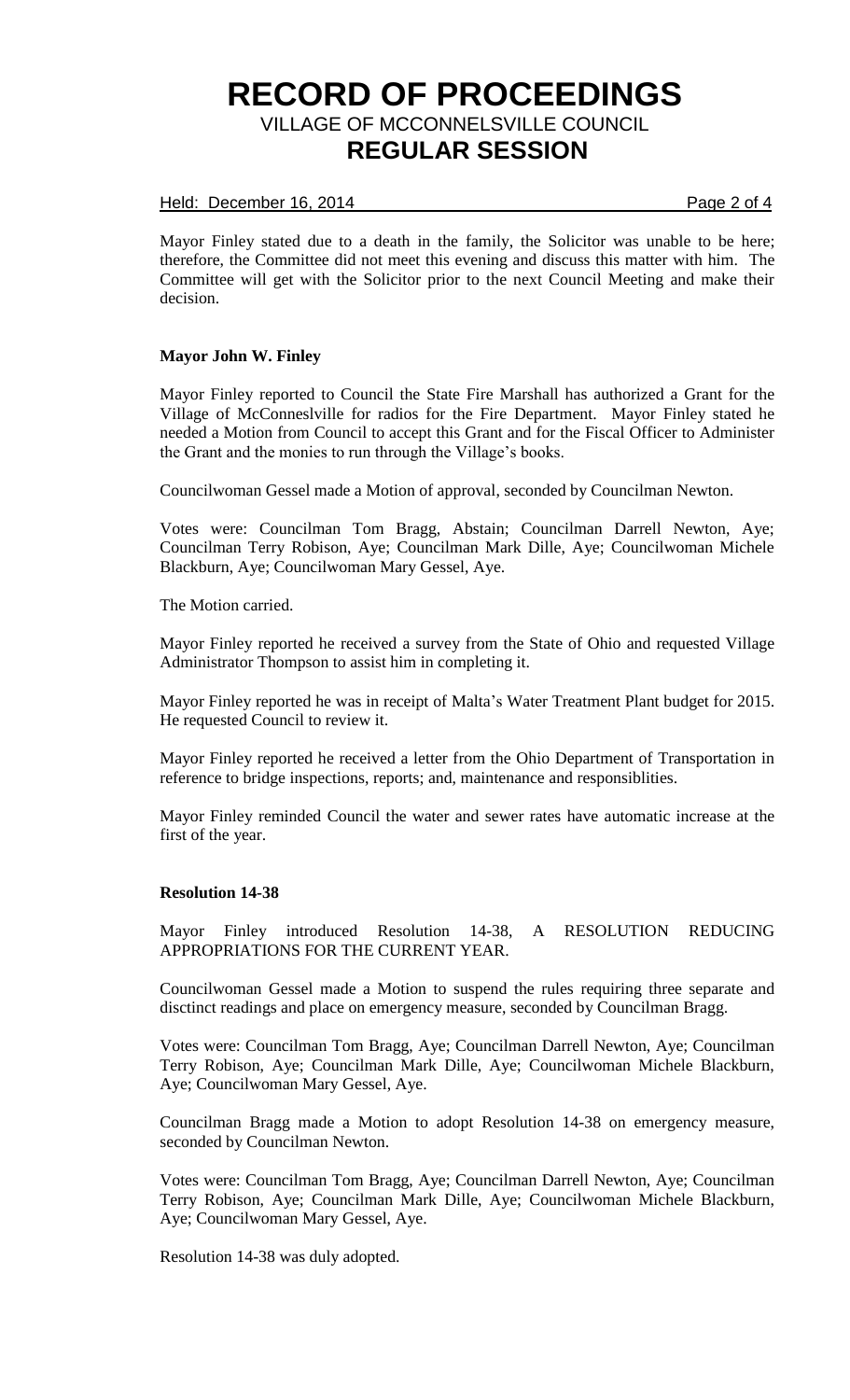# Held: December 16, 2014 Page 2 of 4

Mayor Finley stated due to a death in the family, the Solicitor was unable to be here; therefore, the Committee did not meet this evening and discuss this matter with him. The Committee will get with the Solicitor prior to the next Council Meeting and make their decision.

### **Mayor John W. Finley**

Mayor Finley reported to Council the State Fire Marshall has authorized a Grant for the Village of McConneslville for radios for the Fire Department. Mayor Finley stated he needed a Motion from Council to accept this Grant and for the Fiscal Officer to Administer the Grant and the monies to run through the Village's books.

Councilwoman Gessel made a Motion of approval, seconded by Councilman Newton.

Votes were: Councilman Tom Bragg, Abstain; Councilman Darrell Newton, Aye; Councilman Terry Robison, Aye; Councilman Mark Dille, Aye; Councilwoman Michele Blackburn, Aye; Councilwoman Mary Gessel, Aye.

The Motion carried.

Mayor Finley reported he received a survey from the State of Ohio and requested Village Administrator Thompson to assist him in completing it.

Mayor Finley reported he was in receipt of Malta's Water Treatment Plant budget for 2015. He requested Council to review it.

Mayor Finley reported he received a letter from the Ohio Department of Transportation in reference to bridge inspections, reports; and, maintenance and responsiblities.

Mayor Finley reminded Council the water and sewer rates have automatic increase at the first of the year.

#### **Resolution 14-38**

Mayor Finley introduced Resolution 14-38, A RESOLUTION REDUCING APPROPRIATIONS FOR THE CURRENT YEAR.

Councilwoman Gessel made a Motion to suspend the rules requiring three separate and disctinct readings and place on emergency measure, seconded by Councilman Bragg.

Votes were: Councilman Tom Bragg, Aye; Councilman Darrell Newton, Aye; Councilman Terry Robison, Aye; Councilman Mark Dille, Aye; Councilwoman Michele Blackburn, Aye; Councilwoman Mary Gessel, Aye.

Councilman Bragg made a Motion to adopt Resolution 14-38 on emergency measure, seconded by Councilman Newton.

Votes were: Councilman Tom Bragg, Aye; Councilman Darrell Newton, Aye; Councilman Terry Robison, Aye; Councilman Mark Dille, Aye; Councilwoman Michele Blackburn, Aye; Councilwoman Mary Gessel, Aye.

Resolution 14-38 was duly adopted.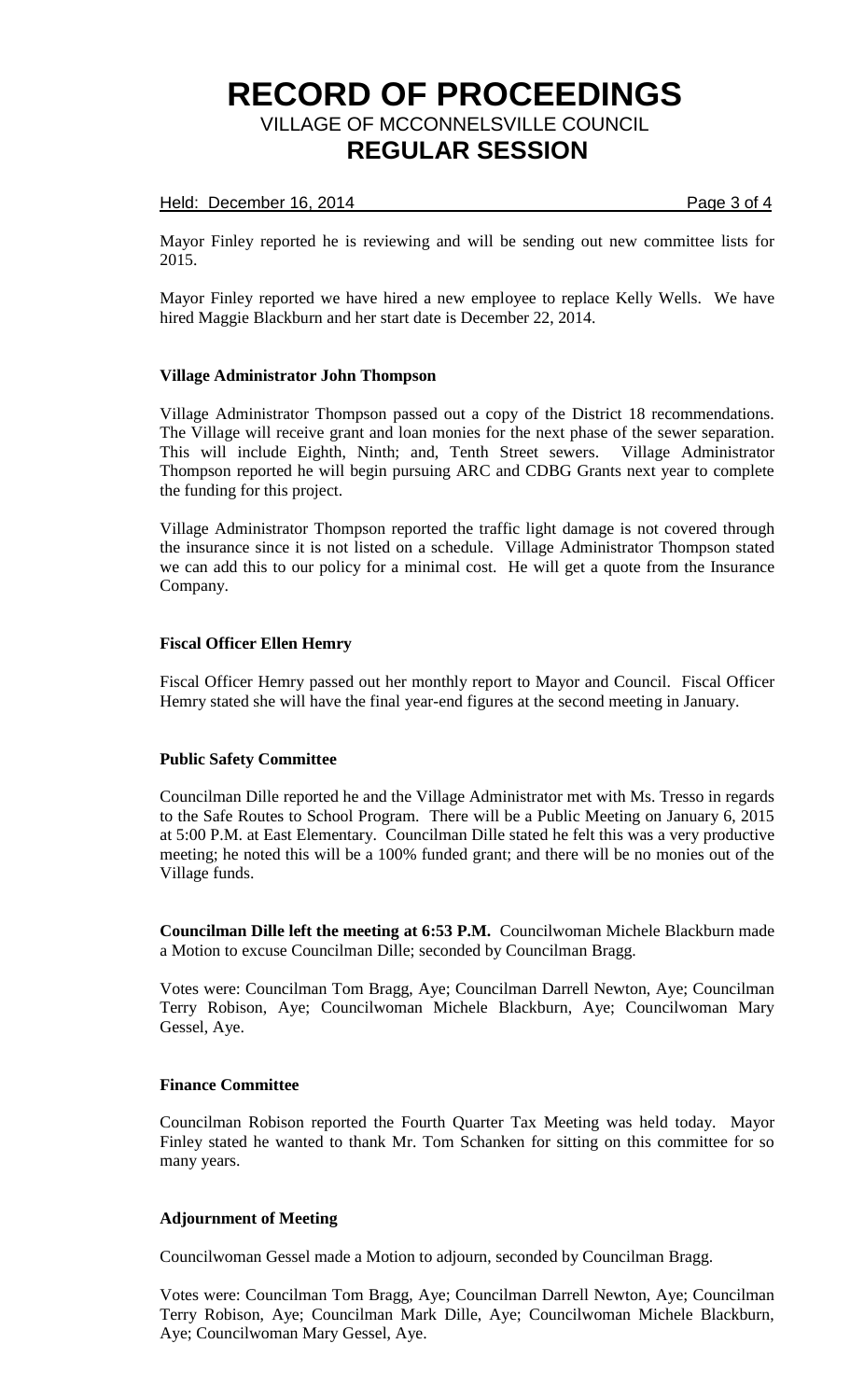## Held: December 16, 2014 **Page 3 of 4**

Mayor Finley reported he is reviewing and will be sending out new committee lists for 2015.

Mayor Finley reported we have hired a new employee to replace Kelly Wells. We have hired Maggie Blackburn and her start date is December 22, 2014.

# **Village Administrator John Thompson**

Village Administrator Thompson passed out a copy of the District 18 recommendations. The Village will receive grant and loan monies for the next phase of the sewer separation. This will include Eighth, Ninth; and, Tenth Street sewers. Village Administrator Thompson reported he will begin pursuing ARC and CDBG Grants next year to complete the funding for this project.

Village Administrator Thompson reported the traffic light damage is not covered through the insurance since it is not listed on a schedule. Village Administrator Thompson stated we can add this to our policy for a minimal cost. He will get a quote from the Insurance Company.

### **Fiscal Officer Ellen Hemry**

Fiscal Officer Hemry passed out her monthly report to Mayor and Council. Fiscal Officer Hemry stated she will have the final year-end figures at the second meeting in January.

#### **Public Safety Committee**

Councilman Dille reported he and the Village Administrator met with Ms. Tresso in regards to the Safe Routes to School Program. There will be a Public Meeting on January 6, 2015 at 5:00 P.M. at East Elementary. Councilman Dille stated he felt this was a very productive meeting; he noted this will be a 100% funded grant; and there will be no monies out of the Village funds.

**Councilman Dille left the meeting at 6:53 P.M.** Councilwoman Michele Blackburn made a Motion to excuse Councilman Dille; seconded by Councilman Bragg.

Votes were: Councilman Tom Bragg, Aye; Councilman Darrell Newton, Aye; Councilman Terry Robison, Aye; Councilwoman Michele Blackburn, Aye; Councilwoman Mary Gessel, Aye.

## **Finance Committee**

Councilman Robison reported the Fourth Quarter Tax Meeting was held today. Mayor Finley stated he wanted to thank Mr. Tom Schanken for sitting on this committee for so many years.

# **Adjournment of Meeting**

Councilwoman Gessel made a Motion to adjourn, seconded by Councilman Bragg.

Votes were: Councilman Tom Bragg, Aye; Councilman Darrell Newton, Aye; Councilman Terry Robison, Aye; Councilman Mark Dille, Aye; Councilwoman Michele Blackburn, Aye; Councilwoman Mary Gessel, Aye.